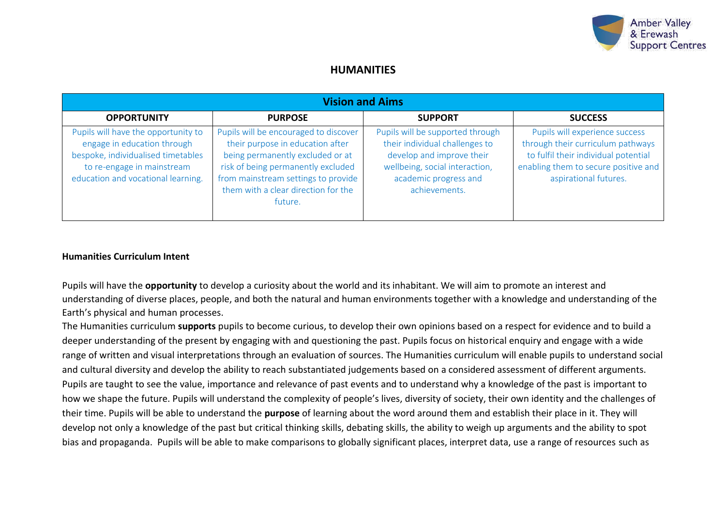

## **HUMANITIES**

| <b>Vision and Aims</b>                                                                                                                                                       |                                                                                                                                                                                                                                              |                                                                                                                                                                             |                                                                                                                                                                              |  |  |
|------------------------------------------------------------------------------------------------------------------------------------------------------------------------------|----------------------------------------------------------------------------------------------------------------------------------------------------------------------------------------------------------------------------------------------|-----------------------------------------------------------------------------------------------------------------------------------------------------------------------------|------------------------------------------------------------------------------------------------------------------------------------------------------------------------------|--|--|
| <b>OPPORTUNITY</b>                                                                                                                                                           | <b>PURPOSE</b>                                                                                                                                                                                                                               | <b>SUPPORT</b>                                                                                                                                                              | <b>SUCCESS</b>                                                                                                                                                               |  |  |
| Pupils will have the opportunity to<br>engage in education through<br>bespoke, individualised timetables<br>to re-engage in mainstream<br>education and vocational learning. | Pupils will be encouraged to discover<br>their purpose in education after<br>being permanently excluded or at<br>risk of being permanently excluded<br>from mainstream settings to provide<br>them with a clear direction for the<br>future. | Pupils will be supported through<br>their individual challenges to<br>develop and improve their<br>wellbeing, social interaction,<br>academic progress and<br>achievements. | Pupils will experience success<br>through their curriculum pathways<br>to fulfil their individual potential<br>enabling them to secure positive and<br>aspirational futures. |  |  |

### **Humanities Curriculum Intent**

Pupils will have the **opportunity** to develop a curiosity about the world and its inhabitant. We will aim to promote an interest and understanding of diverse places, people, and both the natural and human environments together with a knowledge and understanding of the Earth's physical and human processes.

The Humanities curriculum **supports** pupils to become curious, to develop their own opinions based on a respect for evidence and to build a deeper understanding of the present by engaging with and questioning the past. Pupils focus on historical enquiry and engage with a wide range of written and visual interpretations through an evaluation of sources. The Humanities curriculum will enable pupils to understand social and cultural diversity and develop the ability to reach substantiated judgements based on a considered assessment of different arguments. Pupils are taught to see the value, importance and relevance of past events and to understand why a knowledge of the past is important to how we shape the future. Pupils will understand the complexity of people's lives, diversity of society, their own identity and the challenges of their time. Pupils will be able to understand the **purpose** of learning about the word around them and establish their place in it. They will develop not only a knowledge of the past but critical thinking skills, debating skills, the ability to weigh up arguments and the ability to spot bias and propaganda. Pupils will be able to make comparisons to globally significant places, interpret data, use a range of resources such as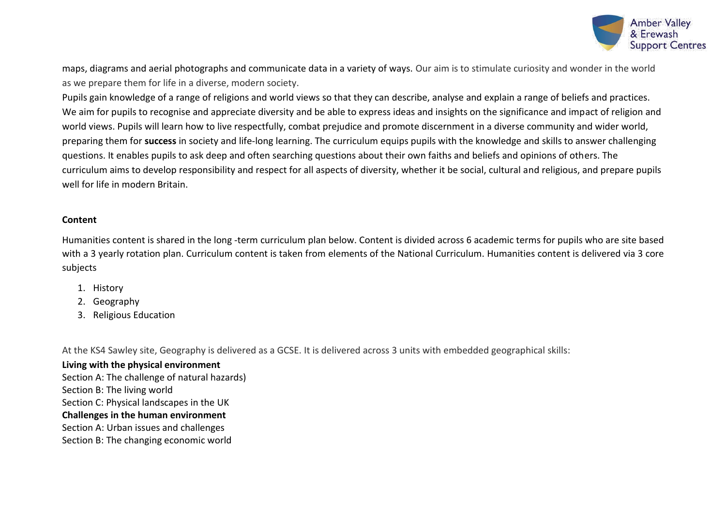

maps, diagrams and aerial photographs and communicate data in a variety of ways. Our aim is to stimulate curiosity and wonder in the world as we prepare them for life in a diverse, modern society.

Pupils gain knowledge of a range of religions and world views so that they can describe, analyse and explain a range of beliefs and practices. We aim for pupils to recognise and appreciate diversity and be able to express ideas and insights on the significance and impact of religion and world views. Pupils will learn how to live respectfully, combat prejudice and promote discernment in a diverse community and wider world, preparing them for **success** in society and life-long learning. The curriculum equips pupils with the knowledge and skills to answer challenging questions. It enables pupils to ask deep and often searching questions about their own faiths and beliefs and opinions of others. The curriculum aims to develop responsibility and respect for all aspects of diversity, whether it be social, cultural and religious, and prepare pupils well for life in modern Britain.

## **Content**

Humanities content is shared in the long -term curriculum plan below. Content is divided across 6 academic terms for pupils who are site based with a 3 yearly rotation plan. Curriculum content is taken from elements of the National Curriculum. Humanities content is delivered via 3 core subjects

- 1. History
- 2. Geography
- 3. Religious Education

At the KS4 Sawley site, Geography is delivered as a GCSE. It is delivered across 3 units with embedded geographical skills:

**Living with the physical environment** Section A: The challenge of natural hazards) Section B: The living world Section C: Physical landscapes in the UK **Challenges in the human environment** Section A: Urban issues and challenges Section B: The changing economic world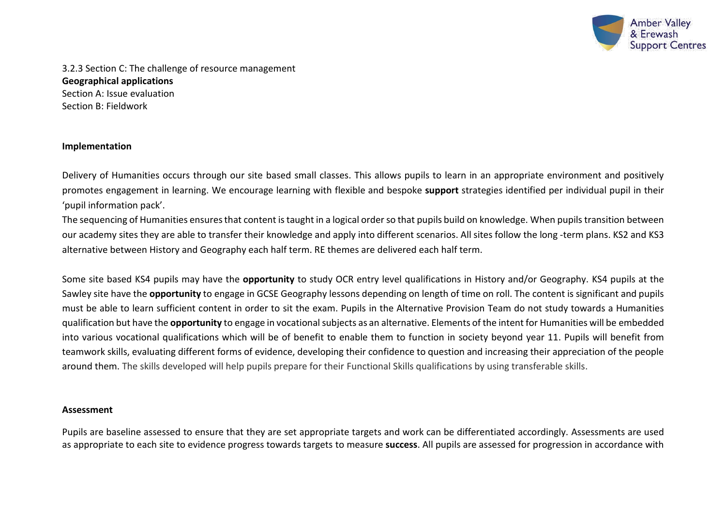

3.2.3 Section C: The challenge of resource management **Geographical applications** Section A: Issue evaluation Section B: Fieldwork

## **Implementation**

Delivery of Humanities occurs through our site based small classes. This allows pupils to learn in an appropriate environment and positively promotes engagement in learning. We encourage learning with flexible and bespoke **support** strategies identified per individual pupil in their 'pupil information pack'.

The sequencing of Humanities ensures that content is taught in a logical order so that pupils build on knowledge. When pupils transition between our academy sites they are able to transfer their knowledge and apply into different scenarios. All sites follow the long -term plans. KS2 and KS3 alternative between History and Geography each half term. RE themes are delivered each half term.

Some site based KS4 pupils may have the **opportunity** to study OCR entry level qualifications in History and/or Geography. KS4 pupils at the Sawley site have the **opportunity** to engage in GCSE Geography lessons depending on length of time on roll. The content is significant and pupils must be able to learn sufficient content in order to sit the exam. Pupils in the Alternative Provision Team do not study towards a Humanities qualification but have the **opportunity** to engage in vocational subjects as an alternative. Elements of the intent for Humanities will be embedded into various vocational qualifications which will be of benefit to enable them to function in society beyond year 11. Pupils will benefit from teamwork skills, evaluating different forms of evidence, developing their confidence to question and increasing their appreciation of the people around them. The skills developed will help pupils prepare for their Functional Skills qualifications by using transferable skills.

#### **Assessment**

Pupils are baseline assessed to ensure that they are set appropriate targets and work can be differentiated accordingly. Assessments are used as appropriate to each site to evidence progress towards targets to measure **success**. All pupils are assessed for progression in accordance with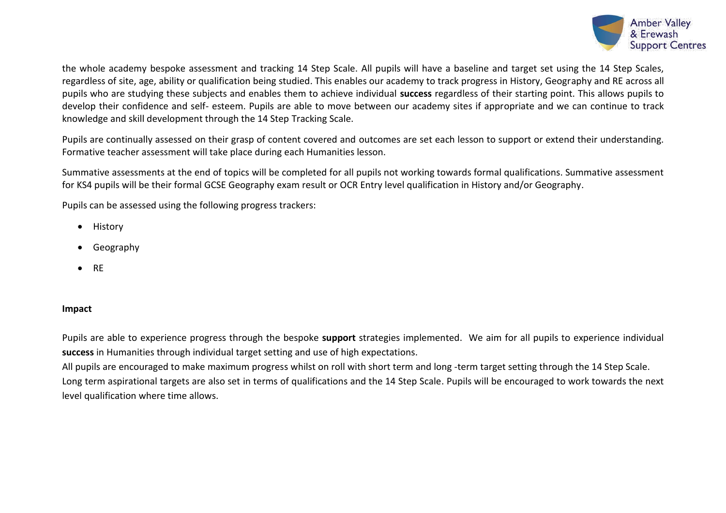

the whole academy bespoke assessment and tracking 14 Step Scale. All pupils will have a baseline and target set using the 14 Step Scales, regardless of site, age, ability or qualification being studied. This enables our academy to track progress in History, Geography and RE across all pupils who are studying these subjects and enables them to achieve individual **success** regardless of their starting point. This allows pupils to develop their confidence and self- esteem. Pupils are able to move between our academy sites if appropriate and we can continue to track knowledge and skill development through the 14 Step Tracking Scale.

Pupils are continually assessed on their grasp of content covered and outcomes are set each lesson to support or extend their understanding. Formative teacher assessment will take place during each Humanities lesson.

Summative assessments at the end of topics will be completed for all pupils not working towards formal qualifications. Summative assessment for KS4 pupils will be their formal GCSE Geography exam result or OCR Entry level qualification in History and/or Geography.

Pupils can be assessed using the following progress trackers:

- History
- Geography
- RE

## **Impact**

Pupils are able to experience progress through the bespoke **support** strategies implemented. We aim for all pupils to experience individual **success** in Humanities through individual target setting and use of high expectations.

All pupils are encouraged to make maximum progress whilst on roll with short term and long -term target setting through the 14 Step Scale. Long term aspirational targets are also set in terms of qualifications and the 14 Step Scale. Pupils will be encouraged to work towards the next level qualification where time allows.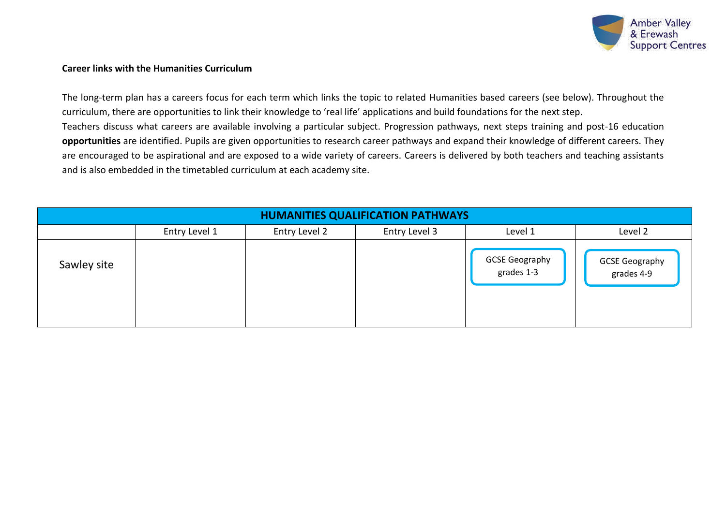

## **Career links with the Humanities Curriculum**

The long-term plan has a careers focus for each term which links the topic to related Humanities based careers (see below). Throughout the curriculum, there are opportunities to link their knowledge to 'real life' applications and build foundations for the next step. Teachers discuss what careers are available involving a particular subject. Progression pathways, next steps training and post-16 education **opportunities** are identified. Pupils are given opportunities to research career pathways and expand their knowledge of different careers. They are encouraged to be aspirational and are exposed to a wide variety of careers. Careers is delivered by both teachers and teaching assistants and is also embedded in the timetabled curriculum at each academy site.

| <b>HUMANITIES QUALIFICATION PATHWAYS</b> |               |               |               |                                     |                              |  |
|------------------------------------------|---------------|---------------|---------------|-------------------------------------|------------------------------|--|
|                                          | Entry Level 1 | Entry Level 2 | Entry Level 3 | Level 1                             | Level 2                      |  |
| Sawley site                              |               |               |               | <b>GCSE Geography</b><br>grades 1-3 | GCSE Geography<br>grades 4-9 |  |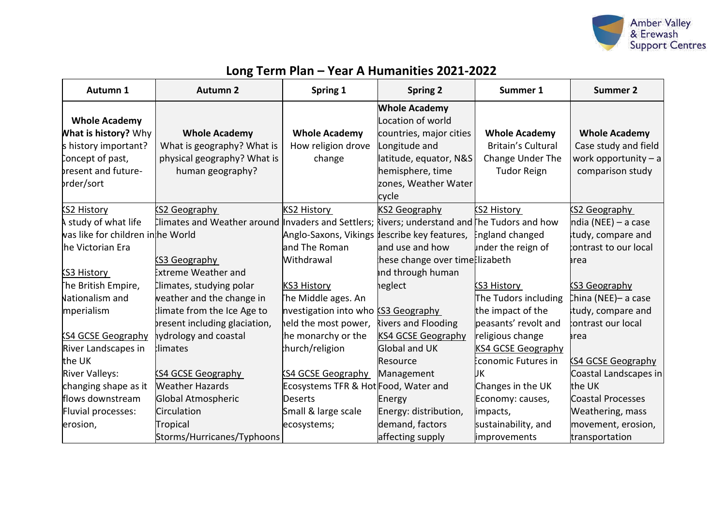

# **Long Term Plan – Year A Humanities 2021-2022**

| Autumn 1                          | <b>Autumn 2</b>                                                                              | Spring 1                             | <b>Spring 2</b>                              | Summer 1                  | <b>Summer 2</b>           |
|-----------------------------------|----------------------------------------------------------------------------------------------|--------------------------------------|----------------------------------------------|---------------------------|---------------------------|
|                                   |                                                                                              |                                      | <b>Whole Academy</b>                         |                           |                           |
| <b>Whole Academy</b>              |                                                                                              |                                      | Location of world                            |                           |                           |
| <b>What is history?</b> Why       | <b>Whole Academy</b>                                                                         | <b>Whole Academy</b>                 | countries, major cities                      | <b>Whole Academy</b>      | <b>Whole Academy</b>      |
| s history important?              | What is geography? What is                                                                   | How religion drove                   | Longitude and                                | <b>Britain's Cultural</b> | Case study and field      |
| Concept of past,                  | physical geography? What is                                                                  | change                               | latitude, equator, N&S                       | Change Under The          | work opportunity $- a$    |
| bresent and future-               | human geography?                                                                             |                                      | hemisphere, time                             | <b>Tudor Reign</b>        | comparison study          |
| prder/sort                        |                                                                                              |                                      | zones, Weather Water                         |                           |                           |
|                                   |                                                                                              |                                      | cycle                                        |                           |                           |
| KS2 History                       | KS2 Geography                                                                                | KS2 History                          | <b>KS2 Geography</b>                         | KS2 History               | <b>KS2 Geography</b>      |
| A study of what life              | Ilimates and Weather around Invaders and Settlers; kivers; understand and The Tudors and how |                                      |                                              |                           | $ndia (NEE) - a case$     |
| was like for children inhhe World |                                                                                              |                                      | Anglo-Saxons, Vikings lescribe key features, | England changed           | tudy, compare and         |
| he Victorian Era                  |                                                                                              | land The Roman                       | and use and how                              | under the reign of        | contrast to our local     |
|                                   | KS3 Geography                                                                                | Withdrawal                           | hese change over time lizabeth               |                           | area                      |
| KS3 History                       | <b>Extreme Weather and</b>                                                                   |                                      | ind through human                            |                           |                           |
| The British Empire,               | Climates, studying polar                                                                     | <b>KS3 History</b>                   | heglect                                      | <b>KS3 History</b>        | <b>S3 Geography</b>       |
| Nationalism and                   | weather and the change in                                                                    | The Middle ages. An                  |                                              | The Tudors including      | China (NEE)- a case       |
| mperialism                        | limate from the Ice Age to                                                                   | nvestigation into who KS3 Geography  |                                              | the impact of the         | tudy, compare and         |
|                                   | present including glaciation,                                                                | held the most power,                 | Rivers and Flooding                          | peasants' revolt and      | contrast our local        |
| <b>KS4 GCSE Geography</b>         | hydrology and coastal                                                                        | he monarchy or the                   | <b>KS4 GCSE Geography</b>                    | religious change          | area                      |
| River Landscapes in               | tlimates                                                                                     | hurch/religion                       | <b>Global and UK</b>                         | <b>KS4 GCSE Geography</b> |                           |
| the UK                            |                                                                                              |                                      | Resource                                     | Economic Futures in       | <b>KS4 GCSE Geography</b> |
| <b>River Valleys:</b>             | <b>KS4 GCSE Geography</b>                                                                    | <b>KS4 GCSE Geography</b>            | Management                                   | UК                        | Coastal Landscapes in     |
| changing shape as it              | <b>Weather Hazards</b>                                                                       | Ecosystems TFR & Hot Food, Water and |                                              | Changes in the UK         | the UK                    |
| flows downstream                  | Global Atmospheric                                                                           | Deserts                              | Energy                                       | Economy: causes,          | <b>Coastal Processes</b>  |
| Fluvial processes:                | <b>Circulation</b>                                                                           | Small & large scale                  | Energy: distribution,                        | impacts,                  | Weathering, mass          |
| erosion,                          | Tropical                                                                                     | ecosystems;                          | demand, factors                              | sustainability, and       | movement, erosion,        |
|                                   | Storms/Hurricanes/Typhoons                                                                   |                                      | affecting supply                             | improvements              | transportation            |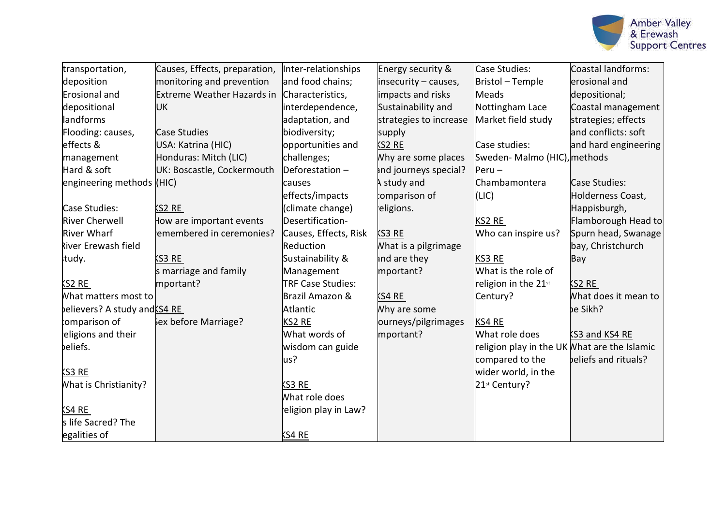

| transportation,               | Causes, Effects, preparation,     | Inter-relationships   | Energy security &      | Case Studies:                                | Coastal landforms:    |
|-------------------------------|-----------------------------------|-----------------------|------------------------|----------------------------------------------|-----------------------|
| deposition                    | monitoring and prevention         | and food chains;      | insecurity - causes,   | Bristol - Temple                             | erosional and         |
| Erosional and                 | <b>Extreme Weather Hazards in</b> | Characteristics,      | impacts and risks      | Meads                                        | depositional;         |
| depositional                  | <b>UK</b>                         | interdependence,      | Sustainability and     |                                              | Coastal management    |
|                               |                                   |                       |                        | Nottingham Lace                              |                       |
| landforms                     |                                   | adaptation, and       | strategies to increase | Market field study                           | strategies; effects   |
| Flooding: causes,             | <b>Case Studies</b>               | biodiversity;         | supply                 |                                              | and conflicts: soft   |
| effects &                     | USA: Katrina (HIC)                | opportunities and     | $52$ RE                | Case studies:                                | and hard engineering  |
| management                    | Honduras: Mitch (LIC)             | challenges;           | Why are some places    | Sweden-Malmo (HIC), methods                  |                       |
| Hard & soft                   | UK: Boscastle, Cockermouth        | Deforestation $-$     | ind journeys special?  | $Peru -$                                     |                       |
| engineering methods (HIC)     |                                   | causes                | A study and            | Chambamontera                                | Case Studies:         |
|                               |                                   | effects/impacts       | comparison of          | (LIC)                                        | Holderness Coast,     |
| Case Studies:                 | KS2 RE                            | (climate change)      | eligions.              |                                              | Happisburgh,          |
| <b>River Cherwell</b>         | How are important events          | Desertification-      |                        | KS2 RE                                       | Flamborough Head to   |
| <b>River Wharf</b>            | emembered in ceremonies?          | Causes, Effects, Risk | <b>KS3 RE</b>          | Who can inspire us?                          | Spurn head, Swanage   |
| <b>River Erewash field</b>    |                                   | Reduction             | What is a pilgrimage   |                                              | bay, Christchurch     |
| study.                        | KS3 RE                            | Sustainability &      | and are they           | KS3 RE                                       | Bay                   |
|                               | s marriage and family             | Management            | mportant?              | What is the role of                          |                       |
| <b>KS2 RE</b>                 | mportant?                         | TRF Case Studies:     |                        | religion in the 21st                         | <b>KS2 RE</b>         |
| What matters most to          |                                   | Brazil Amazon &       | SS4RE                  | Century?                                     | What does it mean to  |
| believers? A study and KS4 RE |                                   | Atlantic              | Why are some           |                                              | be Sikh?              |
| comparison of                 | Sex before Marriage?              | KS2 RE                | ourneys/pilgrimages    | KS4 RE                                       |                       |
| eligions and their            |                                   | What words of         | mportant?              | What role does                               | <b>KS3 and KS4 RE</b> |
| beliefs.                      |                                   | wisdom can guide      |                        | religion play in the UK What are the Islamic |                       |
|                               |                                   | lus?                  |                        | compared to the                              | beliefs and rituals?  |
| KS3 RE                        |                                   |                       |                        | wider world, in the                          |                       |
| What is Christianity?         |                                   | KS3 RE                |                        | 21st Century?                                |                       |
|                               |                                   | What role does        |                        |                                              |                       |
| KS4 RE                        |                                   | eligion play in Law?  |                        |                                              |                       |
| s life Sacred? The            |                                   |                       |                        |                                              |                       |
| egalities of                  |                                   | KS4 RE                |                        |                                              |                       |